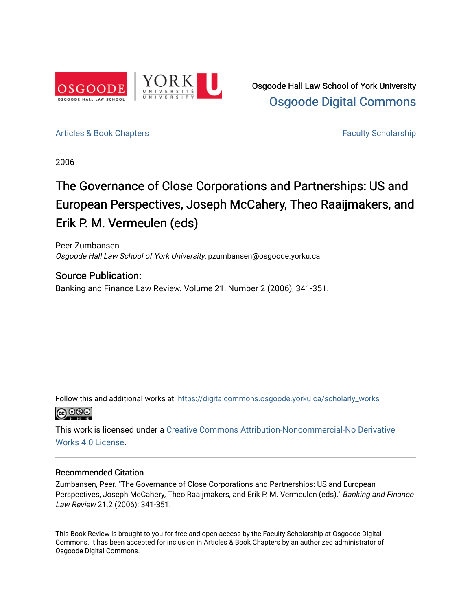

#### [Articles & Book Chapters](https://digitalcommons.osgoode.yorku.ca/scholarly_works) [Faculty Scholarship](https://digitalcommons.osgoode.yorku.ca/scholarship) Faculty Scholarship

2006

# The Governance of Close Corporations and Partnerships: US and European Perspectives, Joseph McCahery, Theo Raaijmakers, and Erik P. M. Vermeulen (eds)

Peer Zumbansen Osgoode Hall Law School of York University, pzumbansen@osgoode.yorku.ca

## Source Publication:

Banking and Finance Law Review. Volume 21, Number 2 (2006), 341-351.

Follow this and additional works at: [https://digitalcommons.osgoode.yorku.ca/scholarly\\_works](https://digitalcommons.osgoode.yorku.ca/scholarly_works?utm_source=digitalcommons.osgoode.yorku.ca%2Fscholarly_works%2F1320&utm_medium=PDF&utm_campaign=PDFCoverPages) 



This work is licensed under a [Creative Commons Attribution-Noncommercial-No Derivative](https://creativecommons.org/licenses/by-nc-nd/4.0/)  [Works 4.0 License](https://creativecommons.org/licenses/by-nc-nd/4.0/).

#### Recommended Citation

Zumbansen, Peer. "The Governance of Close Corporations and Partnerships: US and European Perspectives, Joseph McCahery, Theo Raaijmakers, and Erik P. M. Vermeulen (eds)." Banking and Finance Law Review 21.2 (2006): 341-351.

This Book Review is brought to you for free and open access by the Faculty Scholarship at Osgoode Digital Commons. It has been accepted for inclusion in Articles & Book Chapters by an authorized administrator of Osgoode Digital Commons.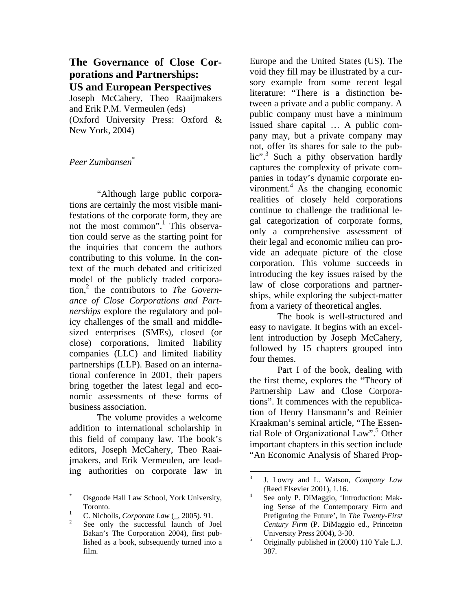## **The Governance of Close Corporations and Partnerships: US and European Perspectives**

Joseph McCahery, Theo Raaijmakers and Erik P.M. Vermeulen (eds) (Oxford University Press: Oxford & New York, 2004)

### *Peer Zumbansen*\*

 "Although large public corporations are certainly the most visible manifestations of the corporate form, they are not the most common".<sup>1</sup> This observation could serve as the starting point for the inquiries that concern the authors contributing to this volume. In the context of the much debated and criticized model of the publicly traded corporation,2 the contributors to *The Governance of Close Corporations and Partnerships* explore the regulatory and policy challenges of the small and middlesized enterprises (SMEs), closed (or close) corporations, limited liability companies (LLC) and limited liability partnerships (LLP). Based on an international conference in 2001, their papers bring together the latest legal and economic assessments of these forms of business association.

The volume provides a welcome addition to international scholarship in this field of company law. The book's editors, Joseph McCahery, Theo Raaijmakers, and Erik Vermeulen, are leading authorities on corporate law in

 $\overline{a}$ 

Europe and the United States (US). The void they fill may be illustrated by a cursory example from some recent legal literature: "There is a distinction between a private and a public company. A public company must have a minimum issued share capital … A public company may, but a private company may not, offer its shares for sale to the public".<sup>3</sup> Such a pithy observation hardly captures the complexity of private companies in today's dynamic corporate environment. $4$  As the changing economic realities of closely held corporations continue to challenge the traditional legal categorization of corporate forms, only a comprehensive assessment of their legal and economic milieu can provide an adequate picture of the close corporation. This volume succeeds in introducing the key issues raised by the law of close corporations and partnerships, while exploring the subject-matter from a variety of theoretical angles.

The book is well-structured and easy to navigate. It begins with an excellent introduction by Joseph McCahery, followed by 15 chapters grouped into four themes.

Part I of the book, dealing with the first theme, explores the "Theory of Partnership Law and Close Corporations". It commences with the republication of Henry Hansmann's and Reinier Kraakman's seminal article, "The Essential Role of Organizational Law".<sup>5</sup> Other important chapters in this section include "An Economic Analysis of Shared Prop-

<sup>\*</sup> Osgoode Hall Law School, York University, Toronto.

<sup>&</sup>lt;sup>1</sup> C. Nicholls, *Corporate Law*  $\left(\frac{1}{2}, 2005\right)$ . 91.

See only the successful launch of Joel Bakan's The Corporation 2004), first published as a book, subsequently turned into a film.

<sup>&</sup>lt;sup>2</sup><br>3 J. Lowry and L. Watson, *Company Law*  **(Reed Elsevier 2001), 1.16.** 

See only P. DiMaggio, 'Introduction: Making Sense of the Contemporary Firm and Prefiguring the Future', in *The Twenty-First Century Firm* (P. DiMaggio ed., Princeton University Press 2004), 3-30.

Originally published in (2000) 110 Yale L.J. 387.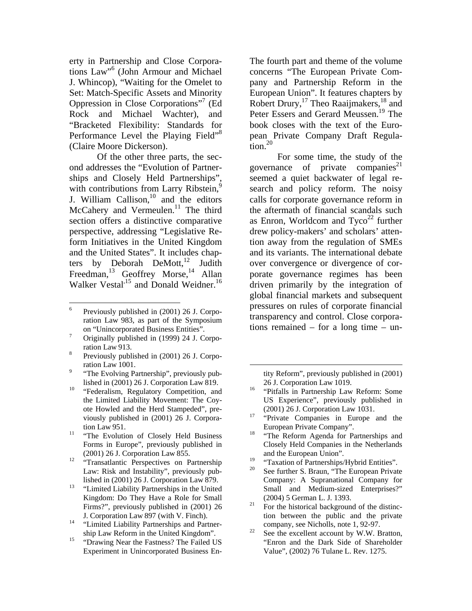erty in Partnership and Close Corporations Law"6 (John Armour and Michael J. Whincop), "Waiting for the Omelet to Set: Match-Specific Assets and Minority Oppression in Close Corporations"7 (Ed Rock and Michael Wachter), and "Bracketed Flexibility: Standards for Performance Level the Playing Field"<sup>8</sup> (Claire Moore Dickerson).

Of the other three parts, the second addresses the "Evolution of Partnerships and Closely Held Partnerships", with contributions from Larry Ribstein,<sup>9</sup> J. William Callison, $10$  and the editors McCahery and Vermeulen. $11$  The third section offers a distinctive comparative perspective, addressing "Legislative Reform Initiatives in the United Kingdom and the United States". It includes chapters by Deborah DeMott, $^{12}$  Judith Freedman,<sup>13</sup> Geoffrey Morse,<sup>14</sup> Allan Walker Vestal<sup>,15</sup> and Donald Weidner.<sup>16</sup>

- Originally published in (1999) 24 J. Corpo $r_{\text{rational}}$  ation Law 913.
- Previously published in (2001) 26 J. Corporation Law 1001.
- "The Evolving Partnership", previously pub-
- lished in  $(2001)$  26 J. Corporation Law 819.<br><sup>10</sup> "Federalism, Regulatory Competition, and the Limited Liability Movement: The Coyote Howled and the Herd Stampeded", previously published in (2001) 26 J. Corpora-
- tion Law 951.<br><sup>11</sup> "The Evolution of Closely Held Business Forms in Europe", previously published in
- (2001) 26 J. Corporation Law 855.<br><sup>12</sup> "Transatlantic Perspectives on Partnership Law: Risk and Instability", previously pub-
- lished in (2001) 26 J. Corporation Law 879. 13 "Limited Liability Partnerships in the United Kingdom: Do They Have a Role for Small Firms?", previously published in (2001) 26
- J. Corporation Law 897 (with V. Finch). 14 "Limited Liability Partnerships and Partner-
- ship Law Reform in the United Kingdom". 15 "Drawing Near the Fastness? The Failed US Experiment in Unincorporated Business En-

The fourth part and theme of the volume concerns "The European Private Company and Partnership Reform in the European Union". It features chapters by Robert Drury,<sup>17</sup> Theo Raaijmakers,<sup>18</sup> and Peter Essers and Gerard Meussen.<sup>19</sup> The book closes with the text of the European Private Company Draft Regulation. $20$ 

For some time, the study of the governance of private companies<sup>21</sup> seemed a quiet backwater of legal research and policy reform. The noisy calls for corporate governance reform in the aftermath of financial scandals such as Enron, Worldcom and  $Tyco<sup>22</sup>$  further drew policy-makers' and scholars' attention away from the regulation of SMEs and its variants. The international debate over convergence or divergence of corporate governance regimes has been driven primarily by the integration of global financial markets and subsequent pressures on rules of corporate financial transparency and control. Close corporations remained – for a long time – un-

tity Reform", previously published in (2001)

- 26 J. Corporation Law 1019. 16 "Pitfalls in Partnership Law Reform: Some US Experience", previously published in
- (2001) 26 J. Corporation Law 1031.<br><sup>17</sup> "Private Companies in Europe and the
- European Private Company".<br><sup>18</sup> "The Reform Agenda for Partnerships and Closely Held Companies in the Netherlands and the European Union".
- <sup>19</sup> "Taxation of Partnerships/Hybrid Entities".<br><sup>20</sup> See further S. Brown, "The European Privat
- See further S. Braun, "The European Private Company: A Supranational Company for Small and Medium-sized Enterprises?"
- (2004) 5 German L. J. 1393.<br><sup>21</sup> For the historical background of the distinction between the public and the private
- company, see Nicholls, note 1, 92-97.<br><sup>22</sup> See the excellent account by W.W. Bratton, "Enron and the Dark Side of Shareholder Value", (2002) 76 Tulane L. Rev. 1275.

 $\overline{a}$ 6 Previously published in (2001) 26 J. Corporation Law 983, as part of the Symposium on "Unincorporated Business Entities". 7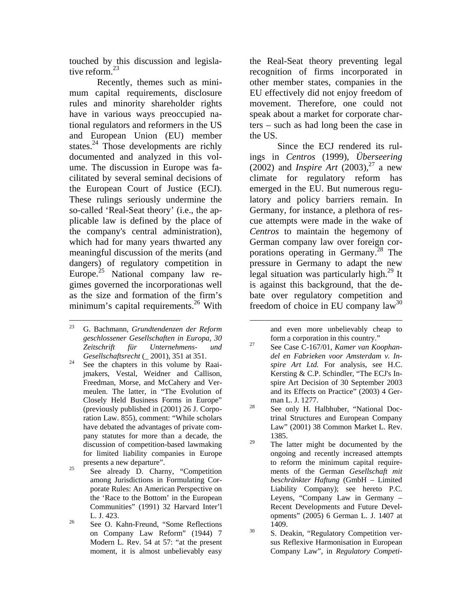touched by this discussion and legislative reform.<sup>23</sup>

Recently, themes such as minimum capital requirements, disclosure rules and minority shareholder rights have in various ways preoccupied national regulators and reformers in the US and European Union (EU) member states. $^{24}$  Those developments are richly documented and analyzed in this volume. The discussion in Europe was facilitated by several seminal decisions of the European Court of Justice (ECJ). These rulings seriously undermine the so-called 'Real-Seat theory' (i.e., the applicable law is defined by the place of the company's central administration), which had for many years thwarted any meaningful discussion of the merits (and dangers) of regulatory competition in Europe. $25$  National company law regimes governed the incorporationas well as the size and formation of the firm's minimum's capital requirements.<sup>26</sup> With

the Real-Seat theory preventing legal recognition of firms incorporated in other member states, companies in the EU effectively did not enjoy freedom of movement. Therefore, one could not speak about a market for corporate charters – such as had long been the case in the US.

Since the ECJ rendered its rulings in *Centros* (1999), *Überseering* (2002) and *Inspire Art* (2003),<sup>27</sup> a new climate for regulatory reform has emerged in the EU. But numerous regulatory and policy barriers remain. In Germany, for instance, a plethora of rescue attempts were made in the wake of *Centros* to maintain the hegemony of German company law over foreign corporations operating in Germany.<sup>28</sup> The pressure in Germany to adapt the new legal situation was particularly high.<sup>29</sup> It is against this background, that the debate over regulatory competition and freedom of choice in EU company  $law^{30}$ 

- $29$  The latter might be documented by the ongoing and recently increased attempts to reform the minimum capital requirements of the German *Gesellschaft mit beschränkter Haftung* (GmbH – Limited Liability Company); see hereto P.C. Leyens, "Company Law in Germany – Recent Developments and Future Developments" (2005) 6 German L. J. 1407 at  $1409.$ <br>30 S. Deakin, "Regulatory Competition ver-
- sus Reflexive Harmonisation in European Company Law", in *Regulatory Competi-*

<sup>23</sup> 23 G. Bachmann, *Grundtendenzen der Reform geschlossener Gesellschaften in Europa, 30 Zeitschrift für Unternehmens- und* 

*Gesellschaftsrecht* ( $\sim$  2001), 351 at 351.<br><sup>24</sup> See the chapters in this volume by Raaijmakers, Vestal, Weidner and Callison, Freedman, Morse, and McCahery and Vermeulen. The latter, in "The Evolution of Closely Held Business Forms in Europe" (previously published in (2001) 26 J. Corporation Law. 855), comment: "While scholars have debated the advantages of private company statutes for more than a decade, the discussion of competition-based lawmaking for limited liability companies in Europe

presents a new departure".<br><sup>25</sup> See already D. Charny, "Competition". among Jurisdictions in Formulating Corporate Rules: An American Perspective on the 'Race to the Bottom' in the European Communities" (1991) 32 Harvard Inter'l

L. J. 423.<br><sup>26</sup> See O. Kahn-Freund, "Some Reflections on Company Law Reform" (1944) 7 Modern L. Rev. 54 at 57: "at the present moment, it is almost unbelievably easy

and even more unbelievably cheap to

form a corporation in this country." 27 See Case C-167/01, *Kamer van Koophandel en Fabrieken voor Amsterdam v. Inspire Art Ltd.* For analysis, see H.C. Kersting & C.P. Schindler, "The ECJ's Inspire Art Decision of 30 September 2003 and its Effects on Practice" (2003) 4 German L. J. 1277.<br><sup>28</sup> See only H. Halbhuber, "National Doc-

trinal Structures and European Company Law" (2001) 38 Common Market L. Rev. 1385.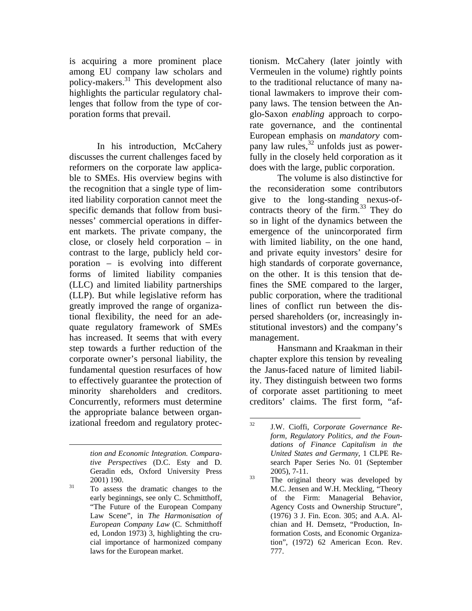is acquiring a more prominent place among EU company law scholars and policy-makers.31 This development also highlights the particular regulatory challenges that follow from the type of corporation forms that prevail.

In his introduction, McCahery discusses the current challenges faced by reformers on the corporate law applicable to SMEs. His overview begins with the recognition that a single type of limited liability corporation cannot meet the specific demands that follow from businesses' commercial operations in different markets. The private company, the close, or closely held corporation – in contrast to the large, publicly held corporation – is evolving into different forms of limited liability companies (LLC) and limited liability partnerships (LLP). But while legislative reform has greatly improved the range of organizational flexibility, the need for an adequate regulatory framework of SMEs has increased. It seems that with every step towards a further reduction of the corporate owner's personal liability, the fundamental question resurfaces of how to effectively guarantee the protection of minority shareholders and creditors. Concurrently, reformers must determine the appropriate balance between organizational freedom and regulatory protec-

 $\overline{a}$ 

tionism. McCahery (later jointly with Vermeulen in the volume) rightly points to the traditional reluctance of many national lawmakers to improve their company laws. The tension between the Anglo-Saxon *enabling* approach to corporate governance, and the continental European emphasis on *mandatory* company law rules,<sup>32</sup> unfolds just as powerfully in the closely held corporation as it does with the large, public corporation.

The volume is also distinctive for the reconsideration some contributors give to the long-standing nexus-ofcontracts theory of the firm.<sup>33</sup> They do so in light of the dynamics between the emergence of the unincorporated firm with limited liability, on the one hand, and private equity investors' desire for high standards of corporate governance, on the other. It is this tension that defines the SME compared to the larger, public corporation, where the traditional lines of conflict run between the dispersed shareholders (or, increasingly institutional investors) and the company's management.

Hansmann and Kraakman in their chapter explore this tension by revealing the Janus-faced nature of limited liability. They distinguish between two forms of corporate asset partitioning to meet creditors' claims. The first form, "af-

*tion and Economic Integration. Comparative Perspectives* (D.C. Esty and D. Geradin eds, Oxford University Press

 $2001$ ) 190.<br><sup>31</sup> To assess the dramatic changes to the early beginnings, see only C. Schmitthoff, "The Future of the European Company Law Scene", in *The Harmonisation of European Company Law* (C. Schmitthoff ed, London 1973) 3, highlighting the crucial importance of harmonized company laws for the European market.

 $32$ 32 J.W. Cioffi, *Corporate Governance Reform, Regulatory Politics, and the Foundations of Finance Capitalism in the United States and Germany*, 1 CLPE Research Paper Series No. 01 (September  $2005$ ,  $7-11$ .<br><sup>33</sup> The original theory was developed by

M.C. Jensen and W.H. Meckling, "Theory of the Firm: Managerial Behavior, Agency Costs and Ownership Structure", (1976) 3 J. Fin. Econ. 305; and A.A. Alchian and H. Demsetz, "Production, Information Costs, and Economic Organization", (1972) 62 American Econ. Rev. 777.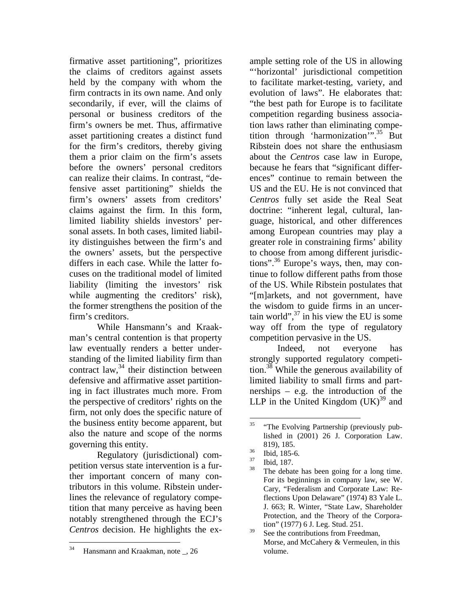firmative asset partitioning", prioritizes the claims of creditors against assets held by the company with whom the firm contracts in its own name. And only secondarily, if ever, will the claims of personal or business creditors of the firm's owners be met. Thus, affirmative asset partitioning creates a distinct fund for the firm's creditors, thereby giving them a prior claim on the firm's assets before the owners' personal creditors can realize their claims. In contrast, "defensive asset partitioning" shields the firm's owners' assets from creditors' claims against the firm. In this form, limited liability shields investors' personal assets. In both cases, limited liability distinguishes between the firm's and the owners' assets, but the perspective differs in each case. While the latter focuses on the traditional model of limited liability (limiting the investors' risk while augmenting the creditors' risk), the former strengthens the position of the firm's creditors.

While Hansmann's and Kraakman's central contention is that property law eventually renders a better understanding of the limited liability firm than contract law, $34$  their distinction between defensive and affirmative asset partitioning in fact illustrates much more. From the perspective of creditors' rights on the firm, not only does the specific nature of the business entity become apparent, but also the nature and scope of the norms governing this entity.

Regulatory (jurisdictional) competition versus state intervention is a further important concern of many contributors in this volume. Ribstein underlines the relevance of regulatory competition that many perceive as having been notably strengthened through the ECJ's *Centros* decision. He highlights the ex-

ample setting role of the US in allowing "'horizontal' jurisdictional competition to facilitate market-testing, variety, and evolution of laws". He elaborates that: "the best path for Europe is to facilitate competition regarding business association laws rather than eliminating competition through 'harmonization'".<sup>35</sup> But Ribstein does not share the enthusiasm about the *Centros* case law in Europe, because he fears that "significant differences" continue to remain between the US and the EU. He is not convinced that *Centros* fully set aside the Real Seat doctrine: "inherent legal, cultural, language, historical, and other differences among European countries may play a greater role in constraining firms' ability to choose from among different jurisdictions".<sup>36</sup> Europe's ways, then, may continue to follow different paths from those of the US. While Ribstein postulates that "[m]arkets, and not government, have the wisdom to guide firms in an uncertain world", $37$  in his view the EU is some way off from the type of regulatory competition pervasive in the US.

Indeed, not everyone has strongly supported regulatory competition.38 While the generous availability of limited liability to small firms and partnerships – e.g. the introduction of the LLP in the United Kingdom  $(UK)^{39}$  and

<sup>34</sup> Hansmann and Kraakman, note \_, 26

 $35$ 35 "The Evolving Partnership (previously published in (2001) 26 J. Corporation Law.

<sup>819), 185.&</sup>lt;br> $\frac{36}{37}$  Ibid, 185-6.

 $\frac{37}{38}$  Ibid, 187.

The debate has been going for a long time. For its beginnings in company law, see W. Cary, "Federalism and Corporate Law: Reflections Upon Delaware" (1974) 83 Yale L. J. 663; R. Winter, "State Law, Shareholder Protection, and the Theory of the Corporation" (1977) 6 J. Leg. Stud. 251.

 $39$  See the contributions from Freedman, Morse, and McCahery & Vermeulen, in this volume.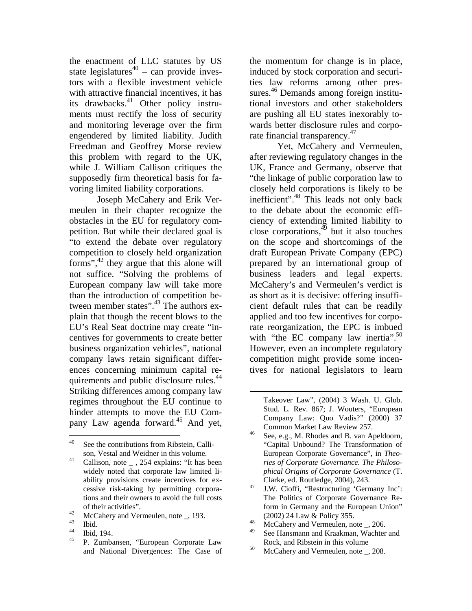the enactment of LLC statutes by US state legislatures<sup>40</sup> – can provide investors with a flexible investment vehicle with attractive financial incentives, it has its drawbacks.<sup>41</sup> Other policy instruments must rectify the loss of security and monitoring leverage over the firm engendered by limited liability. Judith Freedman and Geoffrey Morse review this problem with regard to the UK, while J. William Callison critiques the supposedly firm theoretical basis for favoring limited liability corporations.

Joseph McCahery and Erik Vermeulen in their chapter recognize the obstacles in the EU for regulatory competition. But while their declared goal is "to extend the debate over regulatory competition to closely held organization forms", $^{42}$  they argue that this alone will not suffice. "Solving the problems of European company law will take more than the introduction of competition between member states".<sup>43</sup> The authors explain that though the recent blows to the EU's Real Seat doctrine may create "incentives for governments to create better business organization vehicles", national company laws retain significant differences concerning minimum capital requirements and public disclosure rules.<sup>44</sup> Striking differences among company law regimes throughout the EU continue to hinder attempts to move the EU Company Law agenda forward.<sup>45</sup> And yet,

- of their activities".<br>  $^{42}$  McCahery and Vermeulen, note \_, 193.
- $\begin{array}{c} 43 \ 44 \ \text{m} \cdot 4 \end{array}$
- $^{44}$  Ibid, 194.
- 45 P. Zumbansen, "European Corporate Law and National Divergences: The Case of

the momentum for change is in place, induced by stock corporation and securities law reforms among other pressures.<sup>46</sup> Demands among foreign institutional investors and other stakeholders are pushing all EU states inexorably towards better disclosure rules and corporate financial transparency. $47$ 

Yet, McCahery and Vermeulen, after reviewing regulatory changes in the UK, France and Germany, observe that "the linkage of public corporation law to closely held corporations is likely to be inefficient".<sup>48</sup> This leads not only back to the debate about the economic efficiency of extending limited liability to close corporations, $4\frac{4}{9}$  but it also touches on the scope and shortcomings of the draft European Private Company (EPC) prepared by an international group of business leaders and legal experts. McCahery's and Vermeulen's verdict is as short as it is decisive: offering insufficient default rules that can be readily applied and too few incentives for corporate reorganization, the EPC is imbued with "the EC company law inertia". $50$ However, even an incomplete regulatory competition might provide some incentives for national legislators to learn

- The Politics of Corporate Governance Reform in Germany and the European Union"
- (2002) 24 Law & Policy 355.<br>  $\text{McCahery and Vermeulen, note }$ , 206.
- See Hansmann and Kraakman, Wachter and
- Rock, and Ribstein in this volume<br>
McCahery and Vermeulen, note \_, 208.

<sup>40</sup> See the contributions from Ribstein, Calli-

son, Vestal and Weidner in this volume.<br><sup>41</sup> Callison, note \_ , 254 explains: "It has been widely noted that corporate law limited liability provisions create incentives for excessive risk-taking by permitting corporations and their owners to avoid the full costs

Takeover Law", (2004) 3 Wash. U. Glob. Stud. L. Rev. 867; J. Wouters, "European Company Law: Quo Vadis?" (2000) 37

Common Market Law Review 257.<br><sup>46</sup> See, e.g., M. Rhodes and B. van Apeldoorn, "Capital Unbound? The Transformation of European Corporate Governance", in *Theories of Corporate Governance. The Philosophical Origins of Corporate Governance* (T. Clarke, ed. Routledge, 2004), 243. 47 J.W. Cioffi, "Restructuring 'Germany Inc':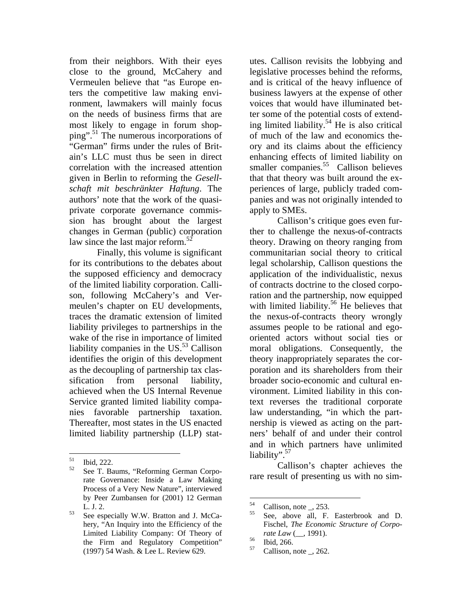from their neighbors. With their eyes close to the ground, McCahery and Vermeulen believe that "as Europe enters the competitive law making environment, lawmakers will mainly focus on the needs of business firms that are most likely to engage in forum shopping".51 The numerous incorporations of "German" firms under the rules of Britain's LLC must thus be seen in direct correlation with the increased attention given in Berlin to reforming the *Gesellschaft mit beschränkter Haftung*. The authors' note that the work of the quasiprivate corporate governance commission has brought about the largest changes in German (public) corporation law since the last major reform.<sup>52</sup>

Finally, this volume is significant for its contributions to the debates about the supposed efficiency and democracy of the limited liability corporation. Callison, following McCahery's and Vermeulen's chapter on EU developments, traces the dramatic extension of limited liability privileges to partnerships in the wake of the rise in importance of limited liability companies in the US. $53$  Callison identifies the origin of this development as the decoupling of partnership tax classification from personal liability, achieved when the US Internal Revenue Service granted limited liability companies favorable partnership taxation. Thereafter, most states in the US enacted limited liability partnership (LLP) stat-

utes. Callison revisits the lobbying and legislative processes behind the reforms, and is critical of the heavy influence of business lawyers at the expense of other voices that would have illuminated better some of the potential costs of extending limited liability.<sup>54</sup> He is also critical of much of the law and economics theory and its claims about the efficiency enhancing effects of limited liability on smaller companies. $55$  Callison believes that that theory was built around the experiences of large, publicly traded companies and was not originally intended to apply to SMEs.

Callison's critique goes even further to challenge the nexus-of-contracts theory. Drawing on theory ranging from communitarian social theory to critical legal scholarship, Callison questions the application of the individualistic, nexus of contracts doctrine to the closed corporation and the partnership, now equipped with limited liability.<sup>56</sup> He believes that the nexus-of-contracts theory wrongly assumes people to be rational and egooriented actors without social ties or moral obligations. Consequently, the theory inappropriately separates the corporation and its shareholders from their broader socio-economic and cultural environment. Limited liability in this context reverses the traditional corporate law understanding, "in which the partnership is viewed as acting on the partners' behalf of and under their control and in which partners have unlimited liability".<sup>57</sup>

Callison's chapter achieves the rare result of presenting us with no sim-

<sup>51</sup>  $\frac{51}{52}$  Ibid, 222.

See T. Baums, "Reforming German Corporate Governance: Inside a Law Making Process of a Very New Nature", interviewed by Peer Zumbansen for (2001) 12 German

L. J. 2.<br><sup>53</sup> See especially W.W. Bratton and J. McCahery, "An Inquiry into the Efficiency of the Limited Liability Company: Of Theory of the Firm and Regulatory Competition" (1997) 54 Wash. & Lee L. Review 629.

<sup>54</sup>  $^{54}$  Callison, note \_, 253.

See, above all, F. Easterbrook and D. Fischel, *The Economic Structure of Corporate Law* (..., 1991).<br><sup>56</sup> Ibid, 266.<br><sup>57</sup> Collins and 262

Callison, note  $\overline{\phantom{0}}$ , 262.